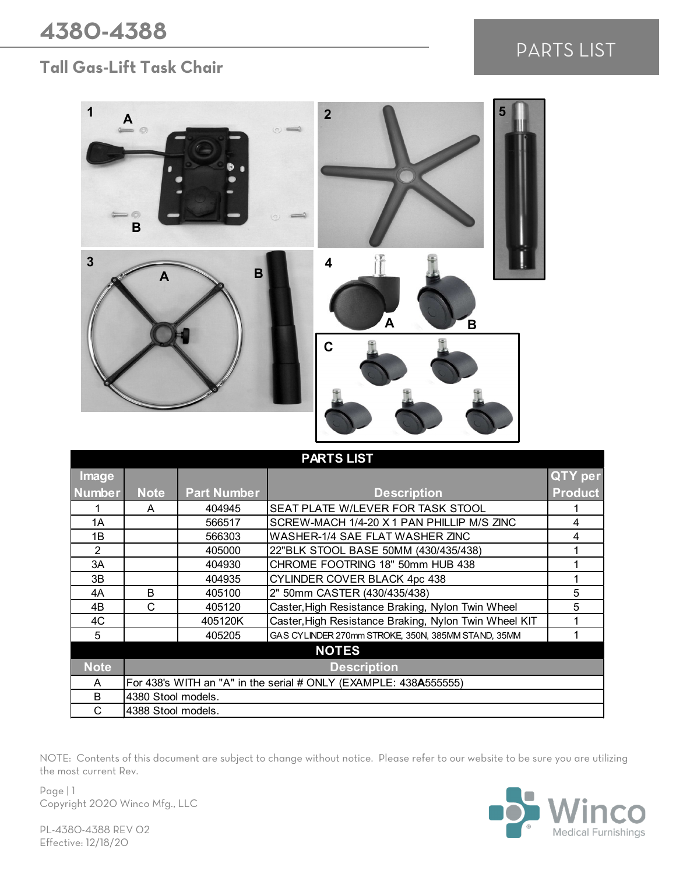## **Tall Gas-Lift Task Chair**

## PARTS LIST



| <b>PARTS LIST</b> |                                                                  |                    |                                                       |                |  |  |
|-------------------|------------------------------------------------------------------|--------------------|-------------------------------------------------------|----------------|--|--|
| Image             |                                                                  |                    |                                                       | QTY per        |  |  |
| <b>Number</b>     | <b>Note</b>                                                      | <b>Part Number</b> | <b>Description</b>                                    | <b>Product</b> |  |  |
|                   | A                                                                | 404945             | SEAT PLATE W/LEVER FOR TASK STOOL                     |                |  |  |
| 1A                |                                                                  | 566517             | SCREW-MACH 1/4-20 X 1 PAN PHILLIP M/S ZINC            | 4              |  |  |
| 1Β                |                                                                  | 566303             | WASHER-1/4 SAE FLAT WASHER ZINC                       | 4              |  |  |
| $\mathfrak{p}$    |                                                                  | 405000             | 22"BLK STOOL BASE 50MM (430/435/438)                  |                |  |  |
| 3A                |                                                                  | 404930             | CHROME FOOTRING 18" 50mm HUB 438                      |                |  |  |
| 3B                |                                                                  | 404935             | CYLINDER COVER BLACK 4pc 438                          |                |  |  |
| 4A                | B                                                                | 405100             | 2" 50mm CASTER (430/435/438)                          | 5              |  |  |
| 4B                | C                                                                | 405120             | Caster, High Resistance Braking, Nylon Twin Wheel     | 5              |  |  |
| 4C                |                                                                  | 405120K            | Caster, High Resistance Braking, Nylon Twin Wheel KIT |                |  |  |
| 5                 |                                                                  | 405205             | GAS CYLINDER 270mm STROKE, 350N, 385MM STAND, 35MM    |                |  |  |
| <b>NOTES</b>      |                                                                  |                    |                                                       |                |  |  |
| Note              | <b>Description</b>                                               |                    |                                                       |                |  |  |
| A                 | For 438's WITH an "A" in the serial # ONLY (EXAMPLE: 438A555555) |                    |                                                       |                |  |  |
| B                 | 4380 Stool models.                                               |                    |                                                       |                |  |  |
| C                 | 4388 Stool models.                                               |                    |                                                       |                |  |  |

NOTE: Contents of this document are subject to change without notice. Please refer to our website to be sure you are utilizing the most current Rev.

Page | 1 Copyright 2020 Winco Mfg., LLC